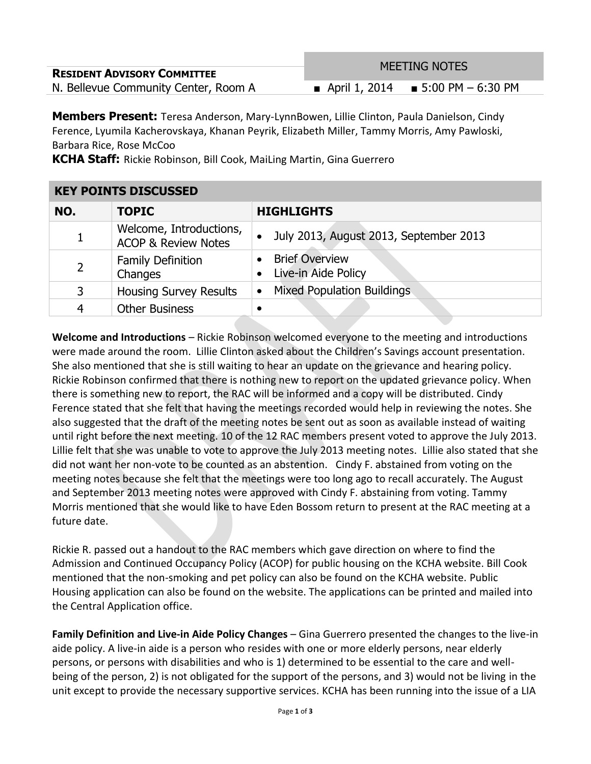|                                      | <b>MEETING NOTES</b> |                                       |
|--------------------------------------|----------------------|---------------------------------------|
| <b>RESIDENT ADVISORY COMMITTEE</b>   |                      |                                       |
| N. Bellevue Community Center, Room A |                      | ■ April 1, 2014 ■ 5:00 PM $-$ 6:30 PM |

**Members Present:** Teresa Anderson, Mary-LynnBowen, Lillie Clinton, Paula Danielson, Cindy Ference, Lyumila Kacherovskaya, Khanan Peyrik, Elizabeth Miller, Tammy Morris, Amy Pawloski, Barbara Rice, Rose McCoo

**KCHA Staff:** Rickie Robinson, Bill Cook, MaiLing Martin, Gina Guerrero

## **KEY POINTS DISCUSSED**

| NO.            | <b>TOPIC</b>                                              | <b>HIGHLIGHTS</b>                              |
|----------------|-----------------------------------------------------------|------------------------------------------------|
|                | Welcome, Introductions,<br><b>ACOP &amp; Review Notes</b> | July 2013, August 2013, September 2013         |
| $\overline{2}$ | <b>Family Definition</b><br>Changes                       | <b>Brief Overview</b><br>Live-in Aide Policy   |
| 3              | <b>Housing Survey Results</b>                             | <b>Mixed Population Buildings</b><br>$\bullet$ |
| 4              | <b>Other Business</b>                                     |                                                |

**Welcome and Introductions** – Rickie Robinson welcomed everyone to the meeting and introductions were made around the room. Lillie Clinton asked about the Children's Savings account presentation. She also mentioned that she is still waiting to hear an update on the grievance and hearing policy. Rickie Robinson confirmed that there is nothing new to report on the updated grievance policy. When there is something new to report, the RAC will be informed and a copy will be distributed. Cindy Ference stated that she felt that having the meetings recorded would help in reviewing the notes. She also suggested that the draft of the meeting notes be sent out as soon as available instead of waiting until right before the next meeting. 10 of the 12 RAC members present voted to approve the July 2013. Lillie felt that she was unable to vote to approve the July 2013 meeting notes. Lillie also stated that she did not want her non-vote to be counted as an abstention. Cindy F. abstained from voting on the meeting notes because she felt that the meetings were too long ago to recall accurately. The August and September 2013 meeting notes were approved with Cindy F. abstaining from voting. Tammy Morris mentioned that she would like to have Eden Bossom return to present at the RAC meeting at a future date.

Rickie R. passed out a handout to the RAC members which gave direction on where to find the Admission and Continued Occupancy Policy (ACOP) for public housing on the KCHA website. Bill Cook mentioned that the non-smoking and pet policy can also be found on the KCHA website. Public Housing application can also be found on the website. The applications can be printed and mailed into the Central Application office.

**Family Definition and Live-in Aide Policy Changes** – Gina Guerrero presented the changes to the live-in aide policy. A live-in aide is a person who resides with one or more elderly persons, near elderly persons, or persons with disabilities and who is 1) determined to be essential to the care and wellbeing of the person, 2) is not obligated for the support of the persons, and 3) would not be living in the unit except to provide the necessary supportive services. KCHA has been running into the issue of a LIA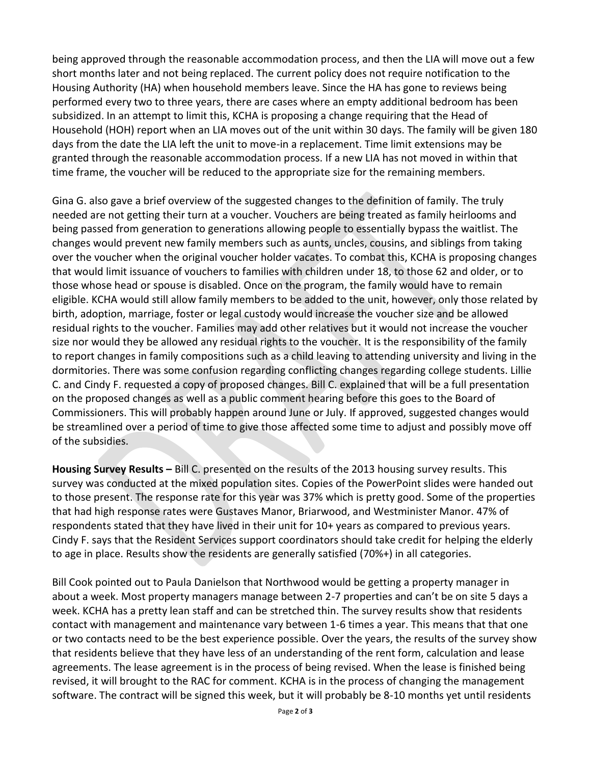being approved through the reasonable accommodation process, and then the LIA will move out a few short months later and not being replaced. The current policy does not require notification to the Housing Authority (HA) when household members leave. Since the HA has gone to reviews being performed every two to three years, there are cases where an empty additional bedroom has been subsidized. In an attempt to limit this, KCHA is proposing a change requiring that the Head of Household (HOH) report when an LIA moves out of the unit within 30 days. The family will be given 180 days from the date the LIA left the unit to move-in a replacement. Time limit extensions may be granted through the reasonable accommodation process. If a new LIA has not moved in within that time frame, the voucher will be reduced to the appropriate size for the remaining members.

Gina G. also gave a brief overview of the suggested changes to the definition of family. The truly needed are not getting their turn at a voucher. Vouchers are being treated as family heirlooms and being passed from generation to generations allowing people to essentially bypass the waitlist. The changes would prevent new family members such as aunts, uncles, cousins, and siblings from taking over the voucher when the original voucher holder vacates. To combat this, KCHA is proposing changes that would limit issuance of vouchers to families with children under 18, to those 62 and older, or to those whose head or spouse is disabled. Once on the program, the family would have to remain eligible. KCHA would still allow family members to be added to the unit, however, only those related by birth, adoption, marriage, foster or legal custody would increase the voucher size and be allowed residual rights to the voucher. Families may add other relatives but it would not increase the voucher size nor would they be allowed any residual rights to the voucher. It is the responsibility of the family to report changes in family compositions such as a child leaving to attending university and living in the dormitories. There was some confusion regarding conflicting changes regarding college students. Lillie C. and Cindy F. requested a copy of proposed changes. Bill C. explained that will be a full presentation on the proposed changes as well as a public comment hearing before this goes to the Board of Commissioners. This will probably happen around June or July. If approved, suggested changes would be streamlined over a period of time to give those affected some time to adjust and possibly move off of the subsidies.

**Housing Survey Results –** Bill C. presented on the results of the 2013 housing survey results. This survey was conducted at the mixed population sites. Copies of the PowerPoint slides were handed out to those present. The response rate for this year was 37% which is pretty good. Some of the properties that had high response rates were Gustaves Manor, Briarwood, and Westminister Manor. 47% of respondents stated that they have lived in their unit for 10+ years as compared to previous years. Cindy F. says that the Resident Services support coordinators should take credit for helping the elderly to age in place. Results show the residents are generally satisfied (70%+) in all categories.

Bill Cook pointed out to Paula Danielson that Northwood would be getting a property manager in about a week. Most property managers manage between 2-7 properties and can't be on site 5 days a week. KCHA has a pretty lean staff and can be stretched thin. The survey results show that residents contact with management and maintenance vary between 1-6 times a year. This means that that one or two contacts need to be the best experience possible. Over the years, the results of the survey show that residents believe that they have less of an understanding of the rent form, calculation and lease agreements. The lease agreement is in the process of being revised. When the lease is finished being revised, it will brought to the RAC for comment. KCHA is in the process of changing the management software. The contract will be signed this week, but it will probably be 8-10 months yet until residents